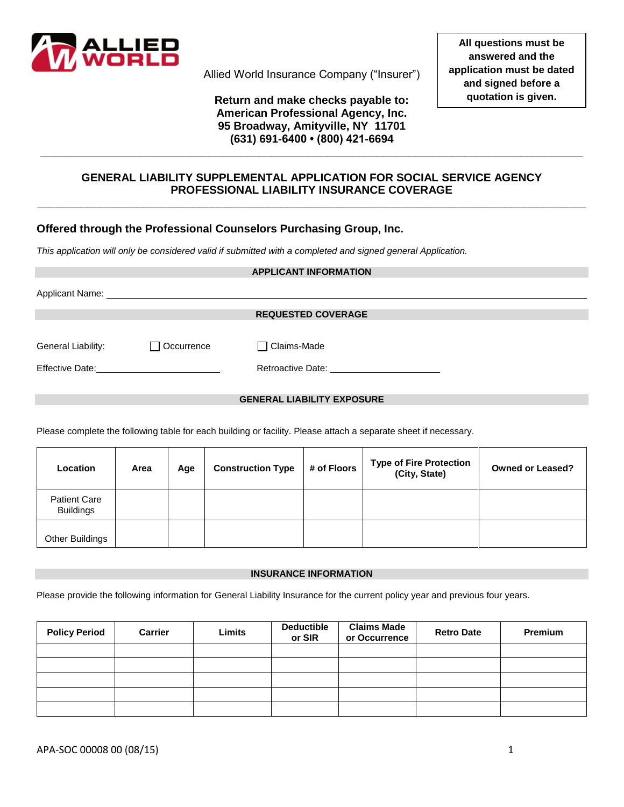

Allied World Insurance Company ("Insurer")

### **Return and make checks payable to: American Professional Agency, Inc. 95 Broadway, Amityville, NY 11701 (631) 691-6400 • (800) 421-6694**

**\_\_\_\_\_\_\_\_\_\_\_\_\_\_\_\_\_\_\_\_\_\_\_\_\_\_\_\_\_\_\_\_\_\_\_\_\_\_\_\_\_\_\_\_\_\_\_\_\_\_\_\_\_\_\_\_\_\_\_\_\_\_\_\_\_\_\_\_\_\_\_\_\_\_\_\_\_\_\_\_\_\_\_\_\_\_\_**

## **GENERAL LIABILITY SUPPLEMENTAL APPLICATION FOR SOCIAL SERVICE AGENCY PROFESSIONAL LIABILITY INSURANCE COVERAGE**

**\_\_\_\_\_\_\_\_\_\_\_\_\_\_\_\_\_\_\_\_\_\_\_\_\_\_\_\_\_\_\_\_\_\_\_\_\_\_\_\_\_\_\_\_\_\_\_\_\_\_\_\_\_\_\_\_\_\_\_\_\_\_\_\_\_\_\_\_\_\_\_\_\_\_\_\_\_\_\_\_\_\_\_\_\_\_\_\_**

# **Offered through the Professional Counselors Purchasing Group, Inc.**

*This application will only be considered valid if submitted with a completed and signed general Application.*

|                                                                                                                                                                                                                                |            | <b>APPLICANT INFORMATION</b>                                                                                                                                                                                                   |  |  |  |  |
|--------------------------------------------------------------------------------------------------------------------------------------------------------------------------------------------------------------------------------|------------|--------------------------------------------------------------------------------------------------------------------------------------------------------------------------------------------------------------------------------|--|--|--|--|
|                                                                                                                                                                                                                                |            | Applicant Name: the contract of the contract of the contract of the contract of the contract of the contract of the contract of the contract of the contract of the contract of the contract of the contract of the contract o |  |  |  |  |
|                                                                                                                                                                                                                                |            |                                                                                                                                                                                                                                |  |  |  |  |
|                                                                                                                                                                                                                                |            | <b>REQUESTED COVERAGE</b>                                                                                                                                                                                                      |  |  |  |  |
|                                                                                                                                                                                                                                |            |                                                                                                                                                                                                                                |  |  |  |  |
| General Liability:                                                                                                                                                                                                             | Occurrence | $\Box$ Claims-Made                                                                                                                                                                                                             |  |  |  |  |
|                                                                                                                                                                                                                                |            | Retroactive Date: Network and the set of the set of the set of the set of the set of the set of the set of the set of the set of the set of the set of the set of the set of the set of the set of the set of the set of the s |  |  |  |  |
| Effective Date: National Account of the Contract of the Contract of the Contract of the Contract of the Contract of the Contract of the Contract of the Contract of the Contract of the Contract of the Contract of the Contra |            |                                                                                                                                                                                                                                |  |  |  |  |
|                                                                                                                                                                                                                                |            |                                                                                                                                                                                                                                |  |  |  |  |
| <b>GENERAL LIABILITY EXPOSURE</b>                                                                                                                                                                                              |            |                                                                                                                                                                                                                                |  |  |  |  |

Please complete the following table for each building or facility. Please attach a separate sheet if necessary.

| Location                                | Area | Age | <b>Construction Type</b> | # of Floors | <b>Type of Fire Protection</b><br>(City, State) | <b>Owned or Leased?</b> |
|-----------------------------------------|------|-----|--------------------------|-------------|-------------------------------------------------|-------------------------|
| <b>Patient Care</b><br><b>Buildings</b> |      |     |                          |             |                                                 |                         |
| <b>Other Buildings</b>                  |      |     |                          |             |                                                 |                         |

### **INSURANCE INFORMATION**

Please provide the following information for General Liability Insurance for the current policy year and previous four years.

| <b>Policy Period</b> | <b>Carrier</b> | Limits | <b>Deductible</b><br>or SIR | <b>Claims Made</b><br>or Occurrence | <b>Retro Date</b> | Premium |
|----------------------|----------------|--------|-----------------------------|-------------------------------------|-------------------|---------|
|                      |                |        |                             |                                     |                   |         |
|                      |                |        |                             |                                     |                   |         |
|                      |                |        |                             |                                     |                   |         |
|                      |                |        |                             |                                     |                   |         |
|                      |                |        |                             |                                     |                   |         |